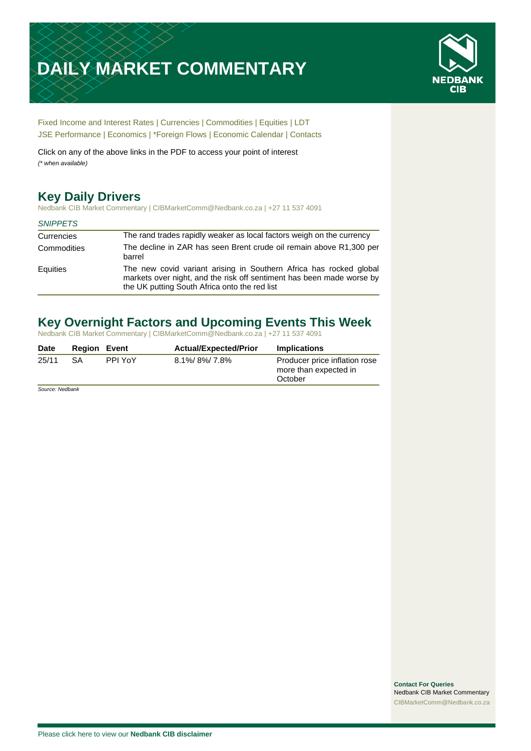# **DAILY MARKET COMMENTARY**



[Fixed Income and Interest Rates](#page-1-0) | [Currencies](#page-2-0) | [Commodities](#page-3-0) [| Equities](#page-4-0) | [LDT](#page-5-0) [JSE Performance](#page-6-0) | Economics | \*Foreign Flows | [Economic Calendar](#page-7-0) | [Contacts](#page-8-0)

Click on any of the above links in the PDF to access your point of interest *(\* when available)*

# **Key Daily Drivers**

Nedbank CIB Market Commentary | CIBMarketComm@Nedbank.co.za | +27 11 537 4091

#### *SNIPPETS*

| Currencies  | The rand trades rapidly weaker as local factors weigh on the currency                                                                                                                        |
|-------------|----------------------------------------------------------------------------------------------------------------------------------------------------------------------------------------------|
| Commodities | The decline in ZAR has seen Brent crude oil remain above R1,300 per<br>barrel                                                                                                                |
| Equities    | The new covid variant arising in Southern Africa has rocked global<br>markets over night, and the risk off sentiment has been made worse by<br>the UK putting South Africa onto the red list |

# **Key Overnight Factors and Upcoming Events This Week**

Nedbank CIB Market Commentary | CIBMarketComm@Nedbank.co.za | +27 11 537 4091

| Date  | <b>Region Event</b> |         | <b>Actual/Expected/Prior</b> | <b>Implications</b>                                               |
|-------|---------------------|---------|------------------------------|-------------------------------------------------------------------|
| 25/11 | SA                  | PPI YoY | 8.1%/8%/7.8%                 | Producer price inflation rose<br>more than expected in<br>October |

*Source: Nedbank*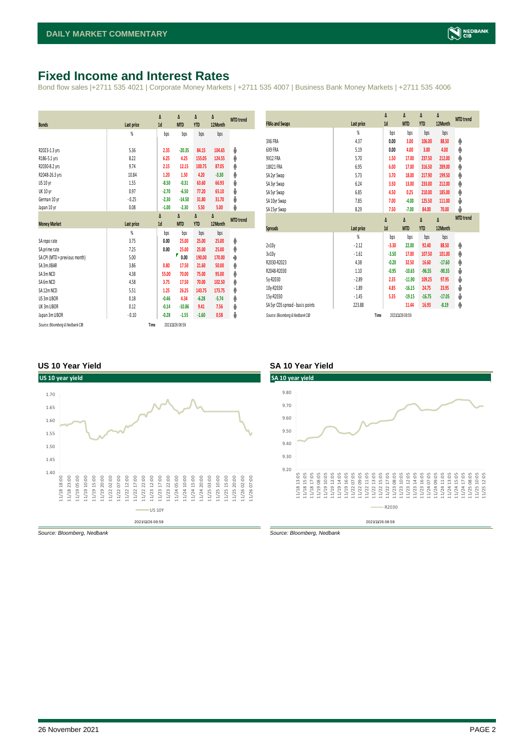### <span id="page-1-0"></span>**Fixed Income and Interest Rates**

Bond flow sales |+2711 535 4021 | Corporate Money Markets | +2711 535 4007 | Business Bank Money Markets | +2711 535 4006

| <b>Bonds</b>                  | Last price     | Δ<br>1d | Δ<br><b>MTD</b> | Δ<br><b>YTD</b> | $\Delta$<br>12 Month | <b>MTD</b> trend |
|-------------------------------|----------------|---------|-----------------|-----------------|----------------------|------------------|
|                               | %              | bps     | bps             | bps             | bps                  |                  |
| R2023-1.3 yrs                 | 5.36           | 2.35    | $-20.35$        | 84.15           | 104.65               | ψ                |
| R186-5.1 yrs                  | 8.22           | 6.25    | 4.25            | 155.05          | 124.55               | φ                |
| R2030-8.2 yrs                 | 9.74           | 2.15    | 12.15           | 100.75          | 87.05                | φ                |
| R2048-26.3 yrs                | 10.84          | 1.20    | 1.50            | 4.20            | $-3.30$              | φ                |
| US 10 yr                      | 1.55           | $-8.50$ | $-0.31$         | 63.60           | 66.93                | ψ                |
| <b>UK 10 yr</b>               | 0.97           | $-2.70$ | $-6.50$         | 77.20           | 65.10                | ψ                |
| German 10 yr                  | $-0.25$        | $-2.30$ | $-14.50$        | 31.80           | 31.70                | ψ                |
| Japan 10 yr                   | 0.08           | $-1.00$ | $-2.30$         | 5.50            | 5.00                 | ψ                |
|                               |                | Δ       | Δ               | Δ               | Δ                    | <b>MTD</b> trend |
| <b>Money Market</b>           | Last price     | 1d      | <b>MTD</b>      | <b>YTD</b>      | 12Month              |                  |
|                               |                |         |                 |                 |                      |                  |
|                               | $\frac{9}{20}$ | bps     | bps             | bps             | bps                  |                  |
| SA reporate                   | 3.75           | 0.00    | 25.00           | 25.00           | 25.00                | φ                |
| SA prime rate                 | 7.25           | 0.00    | 25.00           | 25.00           | 25.00                | Φ                |
| SA CPI (MTD = previous month) | 5.00           |         | Ρ<br>0.00       | 190.00          | 170.00               | ۰                |
| SA 3m JIBAR                   | 3.86           | 0.80    | 17.50           | 21.60           | 50.00                | φ                |
| SA 3m NCD                     | 4.38           | 55.00   | 70.00           | 75.00           | 95.00                | φ                |
| SA 6m NCD                     | 4.58           | 3.75    | 17.50           | 70.00           | 102.50               | φ                |
| SA 12m NCD                    | 5.51           | 1.25    | 26.25           | 143.75          | 173.75               | φ                |
| US 3m LIBOR                   | 0.18           | $-0.46$ | 4.34            | $-6.28$         | $-5.74$              | φ                |
| UK 3m LIBOR                   | 0.12           | $-0.14$ | $-10.86$        | 9.41            | 7.56                 | ψ                |
| Japan 3m LIBOR                | $-0.10$        | $-0.28$ | $-1.55$         | $-1.60$         | 0.58                 | ψ                |

| <b>FRAs and Swaps</b>            | Last price | Δ<br>1d | $\Delta$<br><b>MTD</b> | Δ<br><b>YTD</b> | Δ<br>12Month | <b>MTD</b> trend |
|----------------------------------|------------|---------|------------------------|-----------------|--------------|------------------|
|                                  | %          | bps     | bps                    | bps             | bps          |                  |
| 3X6 FRA                          | 4.37       | 0.00    | 3.00                   | 106.00          | 88.50        | Φ                |
| 6X9 FRA                          | 5.19       | 0.00    | 4.00                   | 3.00            | 4.00         | φ                |
| <b>9X12 FRA</b>                  | 5.70       | 1.50    | 17.00                  | 237.50          | 212.00       | φ                |
| 18X21 FRA                        | 6.95       | 6.00    | 17.00                  | 316.50          | 289.00       | φ                |
| SA 2yr Swap                      | 5.73       | 3.70    | 18.00                  | 217.90          | 199.50       | φ                |
| SA 3yr Swap                      | 6.24       | 3.50    | 13.00                  | 233.00          | 212.00       | φ                |
| SA 5yr Swap                      | 6.85       | 4.50    | 0.25                   | 210.00          | 185.00       | φ                |
| SA 10yr Swap                     | 7.85       | 7.00    | $-4.00$                | 125.50          | 111.00       | ψ                |
| SA 15yr Swap                     | 8.29       | 7.50    | $-7.00$                | 84.00           | 70.00        | ψ                |
|                                  |            | Δ       | Δ                      | Δ               | Δ            | <b>MTD</b> trend |
|                                  |            |         |                        |                 |              |                  |
| Spreads                          | Last price | 1d      | <b>MTD</b>             | <b>YTD</b>      | 12Month      |                  |
|                                  | %          | bps     | bps                    | bps             | bps          |                  |
| 2v10v                            | $-2.12$    | $-3.30$ | 22.00                  | 92.40           | 88.50        | φ                |
| 3v10y                            | $-1.61$    | $-3.50$ | 17.00                  | 107.50          | 101.00       | φ                |
| R2030-R2023                      | 4.38       | $-0.20$ | 32.50                  | 16.60           | $-17.60$     | φ                |
| R2048-R2030                      | 1.10       | $-0.95$ | $-10.65$               | $-96.55$        | $-90.35$     | ψ                |
| 5y-R2030                         | $-2.89$    | 2.35    | $-11.90$               | 109.25          | 97.95        | ψ                |
| 10y-R2030                        | $-1.89$    | 4.85    | $-16.15$               | 24.75           | 23.95        | ψ                |
| 15y-R2030                        | $-1.45$    | 5.35    | $-19.15$               | $-16.75$        | $-17.05$     | ψ                |
| SA 5yr CDS spread - basis points | 223.88     |         | 11.44                  | 16.93           | $-8.19$      | φ                |

#### **US 10 Year Yield SA 10 Year Yield**



*Source: Bloomberg, Nedbank Source: Bloomberg, Nedbank*

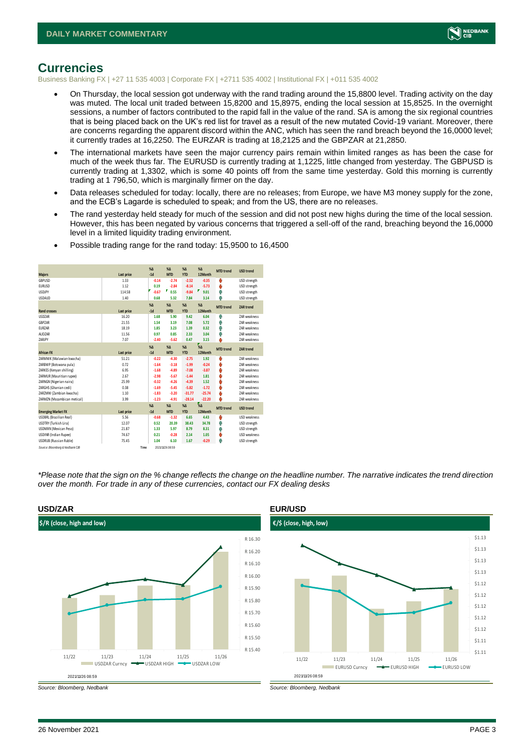

#### <span id="page-2-0"></span>**Currencies**

Business Banking FX | +27 11 535 4003 | Corporate FX | +2711 535 4002 | Institutional FX | +011 535 4002

- On Thursday, the local session got underway with the rand trading around the 15,8800 level. Trading activity on the day was muted. The local unit traded between 15,8200 and 15,8975, ending the local session at 15,8525. In the overnight sessions, a number of factors contributed to the rapid fall in the value of the rand. SA is among the six regional countries that is being placed back on the UK's red list for travel as a result of the new mutated Covid-19 variant. Moreover, there are concerns regarding the apparent discord within the ANC, which has seen the rand breach beyond the 16,0000 level; it currently trades at 16,2250. The EURZAR is trading at 18,2125 and the GBPZAR at 21,2850.
- The international markets have seen the major currency pairs remain within limited ranges as has been the case for much of the week thus far. The EURUSD is currently trading at 1,1225, little changed from yesterday. The GBPUSD is currently trading at 1,3302, which is some 40 points off from the same time yesterday. Gold this morning is currently trading at 1 796,50, which is marginally firmer on the day.
- Data releases scheduled for today: locally, there are no releases; from Europe, we have M3 money supply for the zone, and the ECB's Lagarde is scheduled to speak; and from the US, there are no releases.
- The rand yesterday held steady for much of the session and did not post new highs during the time of the local session. However, this has been negated by various concerns that triggered a sell-off of the rand, breaching beyond the 16,0000 level in a limited liquidity trading environment.

| <b>Majors</b>                   | Last price | $X\Lambda$<br>$-1d$ | $X\Lambda$<br><b>MTD</b> | $X\Lambda$<br><b>YTD</b> | %<br>12Month  | <b>MTD</b> trend | <b>USD trend</b>    |
|---------------------------------|------------|---------------------|--------------------------|--------------------------|---------------|------------------|---------------------|
| GBPUSD                          | 1.33       | $-0.14$             | $-2.74$                  | $-2.52$                  | $-0.35$       | O                | USD strength        |
| <b>EURUSD</b>                   | 1.12       | 0.19                | $-2.84$                  | $-8.14$                  | $-5.73$       | Φ                | USD strength        |
| <b>USDJPY</b>                   | 114.58     | $-0.67$             | σ<br>0.55                | $-9.84$                  | Γ<br>9.01     | Φ                | USD strength        |
| <b>USDAUD</b>                   | 1.40       | 0.68                | 5.32                     | 7.84                     | 3.14          | Φ                | USD strength        |
|                                 |            | $X\Delta$           | $X\Delta$                | $X\Delta$                | $% \Delta$    | <b>MTD</b> trend | ZAR trend           |
| <b>Rand crosses</b>             | Last price | $-1d$               | <b>MTD</b>               | <b>YTD</b>               | 12Month       |                  |                     |
| <b>USDZAR</b>                   | 16.20      | 1.68                | 5.90                     | 9.42                     | 6.04          | Φ                | <b>7AR</b> weakness |
| GBPZAR                          | 21.55      | 1.54                | 3.19                     | 7.08                     | 5.72          | Φ                | <b>7AR</b> weakness |
| <b>EURZAR</b>                   | 18.19      | 1.85                | 3.23                     | 1.39                     | 0.32          | Φ                | ZAR weakness        |
| AUD7AR                          | 11.56      | 0.97                | 0.85                     | 2.33                     | 3.04          | Ŵ                | <b>7AR</b> weakness |
| 7ARIPY                          | 7.07       | $-2.40$             | $-5.62$                  | 0.47                     | 3.15          | p.               | <b>7AR</b> weakness |
|                                 |            | X <sub>A</sub>      | $X\Lambda$               | $X\Delta$                | %             | <b>MTD</b> trend | ZAR trend           |
| <b>African FX</b>               | Last price | $-1d$               | <b>MTD</b>               | <b>YTD</b>               | 12Month       |                  |                     |
| ZARMWK (Malawian kwacha)        | 51.21      | $-0.22$             | $-4.30$                  | $-2.75$                  | 1.92          | O                | <b>7AR</b> weakness |
| ZARBWP (Botswana pula)          | 0.72       | $-1.64$             | $-3.18$                  | $-1.99$                  | $-0.24$       | O                | <b>7AR</b> weakness |
| ZARKES (Kenyan shilling)        | 6.95       | $-1.68$             | $-4.89$                  | $-7.08$                  | $-3.87$       | Ó                | <b>7AR</b> weakness |
| ZARMUR (Mauritian rupee)        | 2.67       | $-2.98$             | $-5.67$                  | $-1.44$                  | 1.81          | O                | ZAR weakness        |
| ZARNGN (Nigerian naira)         | 25.99      | $-0.32$             | $-4.26$                  | $-4.39$                  | 1.52          | O                | <b>7AR</b> weakness |
| ZARGHS (Ghanian cedi)           | 0.38       | $-1.69$             | $-5.45$                  | $-5.82$                  | $-1.72$       | Ó                | <b>7AR</b> weakness |
| ZARZMW (Zambian kwacha)         | 1.10       | $-1.83$             | $-3.20$                  | $-31.77$                 | $-25.74$      | O                | <b>7AR</b> weakness |
| ZARMZN (Mozambican metical)     | 3.99       | $-1.23$             | $-4.91$                  | $-28.14$                 | $-22.20$      | ۵                | <b>7AR</b> weakness |
|                                 |            | $\%$                | $X\Lambda$               | $\% \Delta$              | $\frac{1}{2}$ | <b>MTD</b> trend | <b>USD trend</b>    |
| <b>Emerging Market FX</b>       | Last price | $-1d$               | <b>MTD</b>               | <b>YTD</b>               | 12 Month      |                  |                     |
| USDBRL (Brazilian Real)         | 5.56       | $-0.68$             | $-1.32$                  | 6.65                     | 4.43          | O                | <b>USD weakness</b> |
| <b>USDTRY (Turkish Lira)</b>    | 12.07      | 0.52                | 20.39                    | 38.43                    | 34.78         | Φ                | USD strength        |
| USDMXN (Mexican Peso)           | 21.87      | 1.33                | 5.97                     | 8.79                     | 8.31          | Φ                | USD strength        |
| <b>USDINR</b> (Indian Rupee)    | 74.67      | 0.21                | $-0.28$                  | 2.14                     | 1.05          | ٥                | <b>USD weakness</b> |
| <b>USDRUB</b> (Russian Ruble)   | 75.45      | 1.04                | 6.10                     | 1.67                     | $-0.29$       | Λ                | USD strength        |
| Source: Bloomberg & Nedbank CIB | Time       |                     | 2021/11/26 08:59         |                          |               |                  |                     |

• Possible trading range for the rand today: 15,9500 to 16,4500

*\*Please note that the sign on the % change reflects the change on the headline number. The narrative indicates the trend direction over the month. For trade in any of these currencies, contact our FX dealing desks*





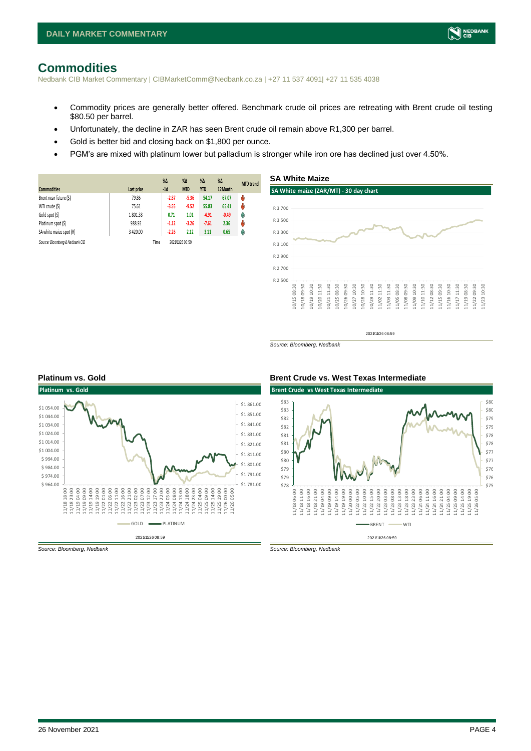## <span id="page-3-0"></span>**Commodities**

Nedbank CIB Market Commentary | CIBMarketComm@Nedbank.co.za | +27 11 537 4091| +27 11 535 4038

- Commodity prices are generally better offered. Benchmark crude oil prices are retreating with Brent crude oil testing \$80.50 per barrel.
- Unfortunately, the decline in ZAR has seen Brent crude oil remain above R1,300 per barrel.
- Gold is better bid and closing back on \$1,800 per ounce.
- PGM's are mixed with platinum lower but palladium is stronger while iron ore has declined just over 4.50%.

|                                 |            | $\%$ $\Delta$ | $\%$ $\Delta$    | $\%$ $\Delta$ | $\%$ $\Delta$ | <b>MTD</b> trend |
|---------------------------------|------------|---------------|------------------|---------------|---------------|------------------|
| <b>Commodities</b>              | Last price | $-1d$         | <b>MTD</b>       | <b>YTD</b>    | 12Month       |                  |
| Brent near future (\$)          | 79.86      | $-2.87$       | $-5.36$          | 54.17         | 67.07         | ŵ                |
| WTI crude (\$)                  | 75.61      | $-3.55$       | $-9.52$          | 55.83         | 65.41         | ŵ                |
| Gold spot (\$)                  | 1801.38    | 0.71          | 1.01             | $-4.91$       | $-0.49$       | φ                |
| Platinum spot (\$)              | 988.92     | $-1.12$       | $-3.26$          | $-7.61$       | 2.36          | ŵ                |
| SA white maize spot (R)         | 3 4 2 0.00 | $-2.26$       | 2.12             | 3.11          | 0.65          | φ                |
| Source: Bloomberg & Nedbank CIB | Time       |               | 2021/11/26 08:59 |               |               |                  |



2021/11/26 08:59

*Source: Bloomberg, Nedbank*



#### **Platinum vs. Gold Brent Crude vs. West Texas Intermediate**



*Source: Bloomberg, Nedbank Source: Bloomberg, Nedbank*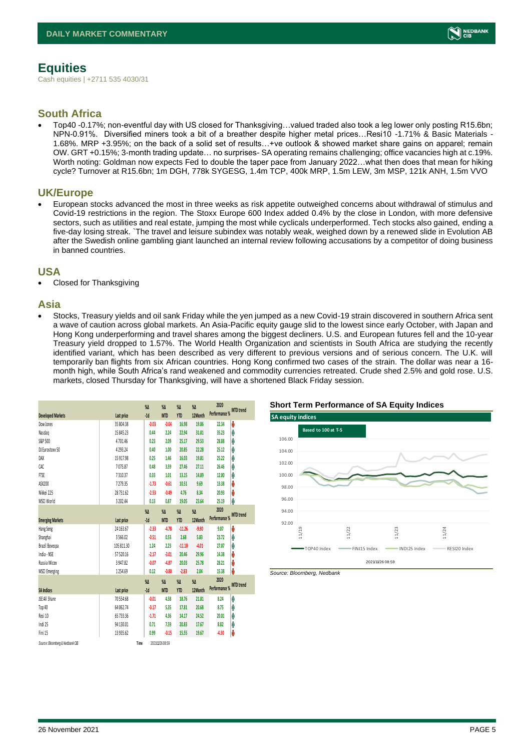# <span id="page-4-0"></span>**Equities**

Cash equities | +2711 535 4030/31

#### **South Africa**

• Top40 -0.17%; non-eventful day with US closed for Thanksgiving…valued traded also took a leg lower only posting R15.6bn; NPN-0.91%. Diversified miners took a bit of a breather despite higher metal prices…Resi10 -1.71% & Basic Materials - 1.68%. MRP +3.95%; on the back of a solid set of results…+ve outlook & showed market share gains on apparel; remain OW. GRT +0.15%; 3-month trading update… no surprises- SA operating remains challenging; office vacancies high at c.19%. Worth noting: Goldman now expects Fed to double the taper pace from January 2022…what then does that mean for hiking cycle? Turnover at R15.6bn; 1m DGH, 778k SYGESG, 1.4m TCP, 400k MRP, 1.5m LEW, 3m MSP, 121k ANH, 1.5m VVO

#### **UK/Europe**

• European stocks advanced the most in three weeks as risk appetite outweighed concerns about withdrawal of stimulus and Covid-19 restrictions in the region. The Stoxx Europe 600 Index added 0.4% by the close in London, with more defensive sectors, such as utilities and real estate, jumping the most while cyclicals underperformed. Tech stocks also gained, ending a five-day losing streak. `The travel and leisure subindex was notably weak, weighed down by a renewed slide in Evolution AB after the Swedish online gambling giant launched an internal review following accusations by a competitor of doing business in banned countries.

#### **USA**

Closed for Thanksgiving

#### **Asia**

• Stocks, Treasury yields and oil sank Friday while the yen jumped as a new Covid-19 strain discovered in southern Africa sent a wave of caution across global markets. An Asia-Pacific equity gauge slid to the lowest since early October, with Japan and Hong Kong underperforming and travel shares among the biggest decliners. U.S. and European futures fell and the 10-year Treasury yield dropped to 1.57%. The World Health Organization and scientists in South Africa are studying the recently identified variant, which has been described as very different to previous versions and of serious concern. The U.K. will temporarily ban flights from six African countries. Hong Kong confirmed two cases of the strain. The dollar was near a 16 month high, while South Africa's rand weakened and commodity currencies retreated. Crude shed 2.5% and gold rose. U.S. markets, closed Thursday for Thanksgiving, will have a shortened Black Friday session.

|                                 |               | $\%$          | $\%$             | %Δ         | %Δ      | 2020                     |  |
|---------------------------------|---------------|---------------|------------------|------------|---------|--------------------------|--|
| <b>Developed Markets</b>        | Last price    | $-1d$         | <b>MTD</b>       | <b>YTD</b> | 12Month | Performance % MTD trend  |  |
| Dow Jones                       | 35 804.38     | $-0.03$       | $-0.04$          | 16.98      | 19.86   | U<br>22.34               |  |
| Nasdao                          | 15 845.23     | 0.44          | 2.24             | 22.94      | 31.01   | φ<br>35.23               |  |
| S&P 500                         | 4 701.46      | 0.23          | 2.09             | 25.17      | 29.53   | ٨<br>28.88               |  |
| DJ Eurostoxx 50                 | 4 2 9 3 . 2 4 | 0.40          | 1.00             | 20.85      | 22.28   | φ<br>25.12               |  |
| DAX                             | 15917.98      | 0.25          | 1.46             | 16.03      | 19.81   | Λ<br>25.22               |  |
| CAC.                            | 7075.87       | 0.48          | 3.59             | 27.46      | 27.11   | ٨<br>26.46               |  |
| FTSE                            | 7310.37       | 0.33          | 1.01             | 13.15      | 14.89   | ٨<br>12.00               |  |
| ASX200                          | 7 279.35      | $-1.73$       | $-0.61$          | 10.51      | 9.69    | Ů<br>13.38               |  |
| Nikkei 225                      | 28 751.62     | $-2.53$       | $-0.49$          | 4.76       | 8.34    | J<br>20.93               |  |
| MSCI World                      | 3 202.44      | 0.13          | 0.87             | 19.05      | 23.64   | φ<br>25.19               |  |
|                                 |               | $\%$ $\Delta$ | $\%$             | %Δ         | %Δ      | 2020<br><b>MTD</b> trend |  |
| <b>Emerging Markets</b>         | Last price    | $-1d$         | <b>MTD</b>       | <b>YTD</b> | 12Month | Performance %            |  |
| Hang Seng                       | 24 163.67     | $-2.33$       | $-4.78$          | $-11.26$   | $-9.90$ | Ů<br>9.07                |  |
| Shanghai                        | 3 5 6 6.02    | $-0.51$       | 0.53             | 2.68       | 5.83    | φ<br>23.72               |  |
| Brazil Bovespa                  | 105 811.30    | 1.24          | 2.23             | $-11.10$   | $-4.01$ | ٨<br>27.07               |  |
| India - NSE                     | 57520.16      | $-2.17$       | $-3.01$          | 20.46      | 29.96   | Ů<br>14.38               |  |
| Russia Micex                    | 3 947.82      | $-0.07$       | $-4.87$          | 20.03      | 25.78   | Ů<br>28.21               |  |
| <b>MSCI</b> Emerging            | 1 254.69      | 0.12          | $-0.80$          | $-2.83$    | 2.04    | Ů<br>15.38               |  |
|                                 |               | $\%$ $\Delta$ | $\%$             | %Δ         | %Δ      | 2020<br><b>MTD</b> trend |  |
| <b>SA Indices</b>               | Last price    | $-1d$         | <b>MTD</b>       | <b>YTD</b> | 12Month | Performance %            |  |
| JSE All Share                   | 70554.68      | $-0.01$       | 4.58             | 18.76      | 21.81   | Ą<br>8.24                |  |
| Top 40                          | 64 062.74     | $-0.17$       | 5.35             | 17.81      | 20.68   | Λ<br>8.75                |  |
| Resi 10                         | 65 733.36     | $-1.71$       | 4.36             | 14.17      | 24.52   | φ<br>20.01               |  |
| Indi 25                         | 94 130.01     | 0.71          | 7.59             | 20.83      | 17.67   | φ<br>8.82                |  |
| Fini 15                         | 13 935.62     | 0.99          | $-0.15$          | 15.55      | 19.67   | U<br>$-4.30$             |  |
| Source: Bloomberg & Nedbank CIB |               | Time          | 2021/11/26 08:59 |            |         |                          |  |

#### **Short Term Performance of SA Equity Indices**





NEDBANK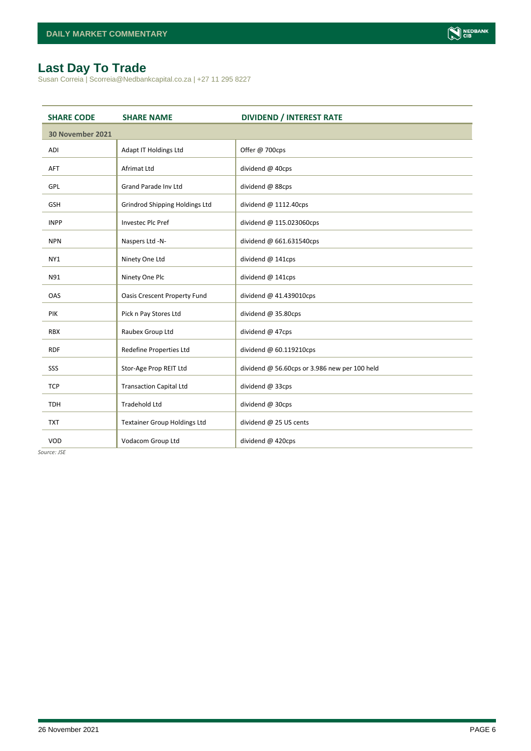# <span id="page-5-0"></span>**Last Day To Trade**

Susan Correia | Scorreia@Nedbankcapital.co.za | +27 11 295 8227

| <b>SHARE CODE</b> | <b>SHARE NAME</b>                   | <b>DIVIDEND / INTEREST RATE</b>               |
|-------------------|-------------------------------------|-----------------------------------------------|
| 30 November 2021  |                                     |                                               |
| ADI               | Adapt IT Holdings Ltd               | Offer @ 700cps                                |
| <b>AFT</b>        | Afrimat Ltd                         | dividend @ 40cps                              |
| GPL               | <b>Grand Parade Inv Ltd</b>         | dividend @ 88cps                              |
| <b>GSH</b>        | Grindrod Shipping Holdings Ltd      | dividend @ 1112.40cps                         |
| <b>INPP</b>       | <b>Investec Plc Pref</b>            | dividend @ 115.023060cps                      |
| <b>NPN</b>        | Naspers Ltd -N-                     | dividend @ 661.631540cps                      |
| NY1               | Ninety One Ltd                      | dividend @ 141cps                             |
| N91               | Ninety One Plc                      | dividend @ 141cps                             |
| OAS               | <b>Oasis Crescent Property Fund</b> | dividend @ 41.439010cps                       |
| PIK               | Pick n Pay Stores Ltd               | dividend @ 35.80cps                           |
| <b>RBX</b>        | Raubex Group Ltd                    | dividend @ 47cps                              |
| <b>RDF</b>        | Redefine Properties Ltd             | dividend @ 60.119210cps                       |
| SSS               | Stor-Age Prop REIT Ltd              | dividend @ 56.60cps or 3.986 new per 100 held |
| <b>TCP</b>        | <b>Transaction Capital Ltd</b>      | dividend @ 33cps                              |
| <b>TDH</b>        | <b>Tradehold Ltd</b>                | dividend @ 30cps                              |
| <b>TXT</b>        | <b>Textainer Group Holdings Ltd</b> | dividend @ 25 US cents                        |
| VOD               | Vodacom Group Ltd                   | dividend @ 420cps                             |

*Source: JSE*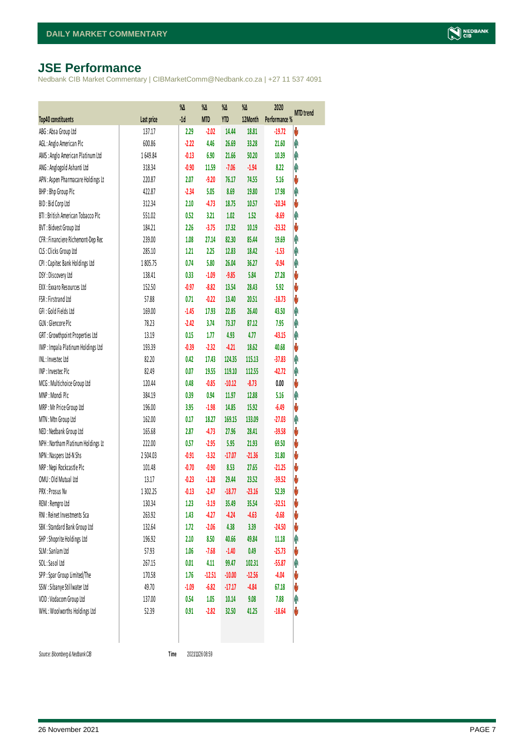# <span id="page-6-0"></span>**JSE Performance**

Nedbank CIB Market Commentary | CIBMarketComm@Nedbank.co.za | +27 11 537 4091

|                                    |            | %Δ      | %Δ         | $\%$       | %Δ       | 2020          |                  |
|------------------------------------|------------|---------|------------|------------|----------|---------------|------------------|
| Top40 constituents                 | Last price | $-1d$   | <b>MTD</b> | <b>YTD</b> | 12Month  | Performance % | <b>MTD</b> trend |
| ABG: Absa Group Ltd                | 137.17     | 2.29    | $-2.02$    | 14.44      | 18.81    | $-19.72$      | V                |
| AGL: Anglo American Plc            | 600.86     | $-2.22$ | 4.46       | 26.69      | 33.28    | 21.60         | φ                |
| AMS: Anglo American Platinum Ltd   | 1649.84    | $-0.13$ | 6.90       | 21.66      | 50.20    | 10.39         | Ą                |
| ANG: Anglogold Ashanti Ltd         | 318.34     | $-0.90$ | 11.59      | $-7.06$    | $-1.94$  | 8.22          | Ą                |
| APN : Aspen Pharmacare Holdings Lt | 220.87     | 2.07    | $-9.20$    | 76.17      | 74.55    | 5.16          | V                |
| BHP: Bhp Group Plc                 | 422.87     | $-2.34$ | 5.05       | 8.69       | 19.80    | 17.98         | φ                |
| BID: Bid Corp Ltd                  | 312.34     | 2.10    | $-4.73$    | 18.75      | 10.57    | $-20.34$      | V                |
| BTI: British American Tobacco Plc  | 551.02     | 0.52    | 3.21       | 1.02       | 1.52     | $-8.69$       | Ą                |
| BVT: Bidvest Group Ltd             | 184.21     | 2.26    | $-3.75$    | 17.32      | 10.19    | $-23.32$      | V                |
| CFR : Financiere Richemont-Dep Rec | 239.00     | 1.08    | 27.14      | 82.30      | 85.44    | 19.69         | φ                |
| CLS : Clicks Group Ltd             | 285.10     | 1.21    | 2.25       | 12.83      | 18.42    | $-1.53$       | Ą                |
| CPI: Capitec Bank Holdings Ltd     | 1805.75    | 0.74    | 5.80       | 26.04      | 36.27    | $-0.94$       | Ą                |
| DSY: Discovery Ltd                 | 138.41     | 0.33    | $-1.09$    | $-9.85$    | 5.84     | 27.28         | V                |
| EXX: Exxaro Resources Ltd          | 152.50     | $-0.97$ | $-8.82$    | 13.54      | 28.43    | 5.92          | V                |
| FSR: Firstrand Ltd                 | 57.88      | 0.71    | $-0.22$    | 13.40      | 20.51    | $-18.73$      | V                |
| GFI: Gold Fields Ltd               | 169.00     | $-1.45$ | 17.93      | 22.85      | 26.40    | 43.50         | Ą                |
| GLN : Glencore Plc                 | 78.23      | $-2.42$ | 3.74       | 73.37      | 87.12    | 7.95          | Ą                |
| GRT : Growthpoint Properties Ltd   | 13.19      | 0.15    | 1.77       | 4.93       | 4.77     | $-43.15$      | Ą                |
| IMP: Impala Platinum Holdings Ltd  | 193.39     | $-0.39$ | $-2.32$    | $-4.21$    | 18.62    | 40.68         | V                |
| INL: Investec Ltd                  | 82.20      | 0.42    | 17.43      | 124.35     | 115.13   | $-37.83$      | Ą                |
| INP: Invested Plc                  | 82.49      | 0.07    | 19.55      | 119.10     | 112.55   | $-42.72$      | φ                |
| MCG: Multichoice Group Ltd         | 120.44     | 0.48    | $-0.85$    | $-10.12$   | $-8.73$  | 0.00          | V                |
| MNP: Mondi Plc                     | 384.19     | 0.39    | 0.94       | 11.97      | 12.88    | 5.16          | Ą                |
| MRP : Mr Price Group Ltd           | 196.00     | 3.95    | $-1.98$    | 14.85      | 15.92    | $-6.49$       | V                |
| MTN: Mtn Group Ltd                 | 162.00     | 0.17    | 18.27      | 169.15     | 133.09   | $-27.03$      | φ                |
| NED: Nedbank Group Ltd             | 165.68     | 2.87    | $-4.73$    | 27.96      | 28.41    | $-39.58$      | V                |
| NPH: Northam Platinum Holdings Lt  | 222.00     | 0.57    | $-2.95$    | 5.95       | 21.93    | 69.50         | V                |
| NPN : Naspers Ltd-N Shs            | 2 504.03   | $-0.91$ | $-3.32$    | $-17.07$   | $-21.36$ | 31.80         | V                |
| NRP : Nepi Rockcastle Plc          | 101.48     | $-0.70$ | $-0.90$    | 8.53       | 27.65    | $-21.25$      | V                |
| OMU: Old Mutual Ltd                | 13.17      | $-0.23$ | $-1.28$    | 29.44      | 23.52    | $-39.52$      | V                |
| PRX: Prosus Nv                     | 1 3 0 2.25 | $-0.13$ | $-2.47$    | $-18.77$   | $-23.16$ | 52.39         | V                |
| REM : Remgro Ltd                   | 130.34     | 1.23    | $-3.19$    | 35.49      | 35.54    | $-32.51$      | V                |
| RNI : Reinet Investments Sca       | 263.92     | 1.43    | $-4.27$    | $-4.24$    | $-4.63$  | $-0.68$       | V                |
| SBK: Standard Bank Group Ltd       | 132.64     | 1.72    | $-2.06$    | 4.38       | 3.39     | $-24.50$      | V                |
| SHP: Shoprite Holdings Ltd         | 196.92     | 2.10    | 8.50       | 40.66      | 49.84    | 11.18         | φ                |
| SLM : Sanlam Ltd                   | 57.93      | 1.06    | $-7.68$    | $-1.40$    | 0.49     | $-25.73$      | V                |
| SOL: Sasol Ltd                     | 267.15     | 0.01    | 4.11       | 99.47      | 102.31   | $-55.87$      | φ                |
| SPP: Spar Group Limited/The        | 170.58     | 1.76    | $-12.51$   | $-10.00$   | $-12.56$ | $-4.04$       | V                |
| SSW : Sibanye Stillwater Ltd       | 49.70      | $-1.09$ | $-6.82$    | $-17.17$   | $-4.84$  | 67.18         | V                |
| VOD: Vodacom Group Ltd             | 137.00     | 0.54    | 1.05       | 10.14      | 9.08     | 7.88          | φ                |
| WHL: Woolworths Holdings Ltd       | 52.39      | 0.91    | $-2.82$    | 32.50      | 41.25    | $-18.64$      | V                |
|                                    |            |         |            |            |          |               |                  |

 $Source: Bloomberg & Nedbank CB$ 

Time 2021/11/26 08:59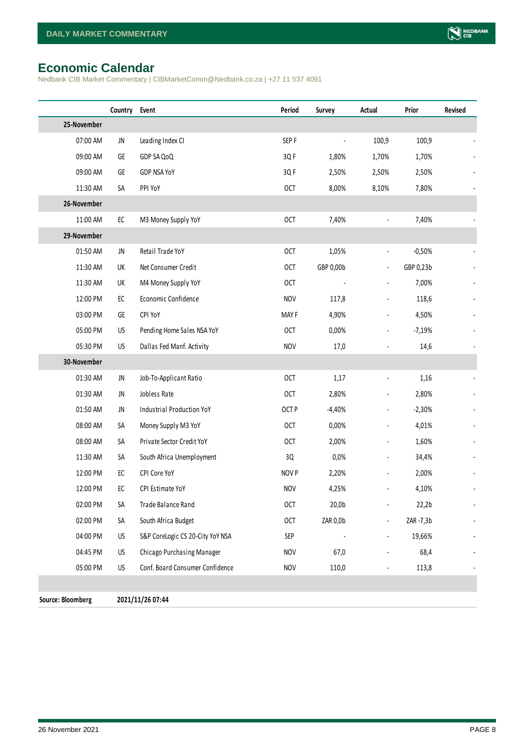# <span id="page-7-0"></span>**Economic Calendar**

Nedbank CIB Market Commentary | CIBMarketComm@Nedbank.co.za | +27 11 537 4091

|                   | Country    | Event                            | Period     | <b>Survey</b> | Actual                       | Prior     | Revised |
|-------------------|------------|----------------------------------|------------|---------------|------------------------------|-----------|---------|
| 25-November       |            |                                  |            |               |                              |           |         |
| 07:00 AM          | JN         | Leading Index CI                 | SEP F      |               | 100,9                        | 100,9     |         |
| 09:00 AM          | GE         | GDP SA QoQ                       | 3QF        | 1,80%         | 1,70%                        | 1,70%     |         |
| 09:00 AM          | GE         | GDP NSA YoY                      | 3QF        | 2,50%         | 2,50%                        | 2,50%     |         |
| 11:30 AM          | SA         | PPI YoY                          | <b>OCT</b> | 8,00%         | 8,10%                        | 7,80%     |         |
| 26-November       |            |                                  |            |               |                              |           |         |
| 11:00 AM          | ${\sf EC}$ | M3 Money Supply YoY              | <b>OCT</b> | 7,40%         | $\blacksquare$               | 7,40%     |         |
| 29-November       |            |                                  |            |               |                              |           |         |
| 01:50 AM          | JN         | Retail Trade YoY                 | <b>OCT</b> | 1,05%         | $\overline{\phantom{a}}$     | $-0,50%$  |         |
| 11:30 AM          | UK         | Net Consumer Credit              | <b>OCT</b> | GBP 0,00b     | $\overline{\phantom{a}}$     | GBP 0,23b |         |
| 11:30 AM          | UK         | M4 Money Supply YoY              | <b>OCT</b> |               | $\blacksquare$               | 7,00%     |         |
| 12:00 PM          | ${\sf EC}$ | Economic Confidence              | <b>NOV</b> | 117,8         | $\overline{\phantom{a}}$     | 118,6     |         |
| 03:00 PM          | GE         | CPI YoY                          | MAY F      | 4,90%         | $\blacksquare$               | 4,50%     |         |
| 05:00 PM          | US         | Pending Home Sales NSA YoY       | <b>OCT</b> | 0,00%         | $\qquad \qquad \blacksquare$ | $-7,19%$  |         |
| 05:30 PM          | US         | Dallas Fed Manf. Activity        | <b>NOV</b> | 17,0          | $\overline{\phantom{a}}$     | 14,6      |         |
| 30-November       |            |                                  |            |               |                              |           |         |
| 01:30 AM          | JN         | Job-To-Applicant Ratio           | <b>OCT</b> | 1,17          | $\overline{\phantom{a}}$     | 1,16      |         |
| 01:30 AM          | JN         | Jobless Rate                     | <b>OCT</b> | 2,80%         | $\overline{\phantom{a}}$     | 2,80%     |         |
| 01:50 AM          | JN         | Industrial Production YoY        | OCT P      | $-4,40%$      | $\overline{\phantom{a}}$     | $-2,30%$  |         |
| 08:00 AM          | SА         | Money Supply M3 YoY              | <b>OCT</b> | 0,00%         | $\overline{\phantom{0}}$     | 4,01%     |         |
| 08:00 AM          | SA         | Private Sector Credit YoY        | <b>OCT</b> | 2,00%         | $\qquad \qquad \blacksquare$ | 1,60%     |         |
| 11:30 AM          | SА         | South Africa Unemployment        | 3Q         | 0,0%          | $\overline{\phantom{0}}$     | 34,4%     |         |
| 12:00 PM          | ${\sf EC}$ | CPI Core YoY                     | NOV P      | 2,20%         |                              | 2,00%     |         |
| 12:00 PM          | ${\sf EC}$ | CPI Estimate YoY                 | <b>NOV</b> | 4,25%         |                              | 4,10%     |         |
| 02:00 PM          | SA         | Trade Balance Rand               | <b>OCT</b> | 20,0b         |                              | 22,2b     |         |
| 02:00 PM          | SA         | South Africa Budget              | <b>OCT</b> | ZAR 0,0b      |                              | ZAR -7,3b |         |
| 04:00 PM          | US         | S&P CoreLogic CS 20-City YoY NSA | SEP        |               |                              | 19,66%    |         |
| 04:45 PM          | US         | Chicago Purchasing Manager       | <b>NOV</b> | 67,0          |                              | 68,4      |         |
| 05:00 PM          | US         | Conf. Board Consumer Confidence  | <b>NOV</b> | 110,0         | $\blacksquare$               | 113,8     |         |
|                   |            |                                  |            |               |                              |           |         |
| Source: Bloomberg |            | 2021/11/26 07:44                 |            |               |                              |           |         |